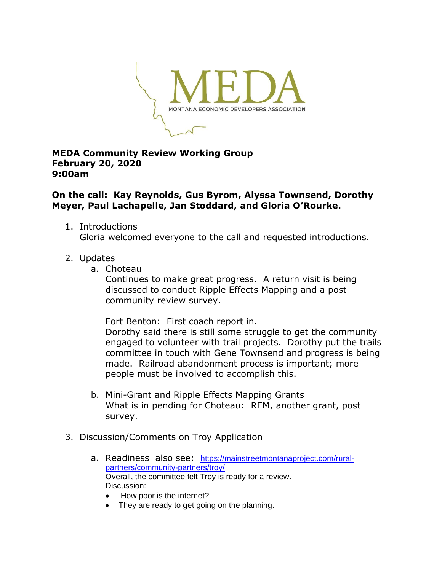

## **MEDA Community Review Working Group February 20, 2020 9:00am**

## **On the call: Kay Reynolds, Gus Byrom, Alyssa Townsend, Dorothy Meyer, Paul Lachapelle, Jan Stoddard, and Gloria O'Rourke.**

- 1. Introductions Gloria welcomed everyone to the call and requested introductions.
- 2. Updates
	- a. Choteau

Continues to make great progress. A return visit is being discussed to conduct Ripple Effects Mapping and a post community review survey.

Fort Benton: First coach report in.

Dorothy said there is still some struggle to get the community engaged to volunteer with trail projects. Dorothy put the trails committee in touch with Gene Townsend and progress is being made. Railroad abandonment process is important; more people must be involved to accomplish this.

- b. Mini-Grant and Ripple Effects Mapping Grants What is in pending for Choteau: REM, another grant, post survey.
- 3. Discussion/Comments on Troy Application
	- a. Readiness also see: [https://mainstreetmontanaproject.com/rural](https://mainstreetmontanaproject.com/rural-partners/community-partners/troy/)[partners/community-partners/troy/](https://mainstreetmontanaproject.com/rural-partners/community-partners/troy/) Overall, the committee felt Troy is ready for a review. Discussion:
		- How poor is the internet?
		- They are ready to get going on the planning.